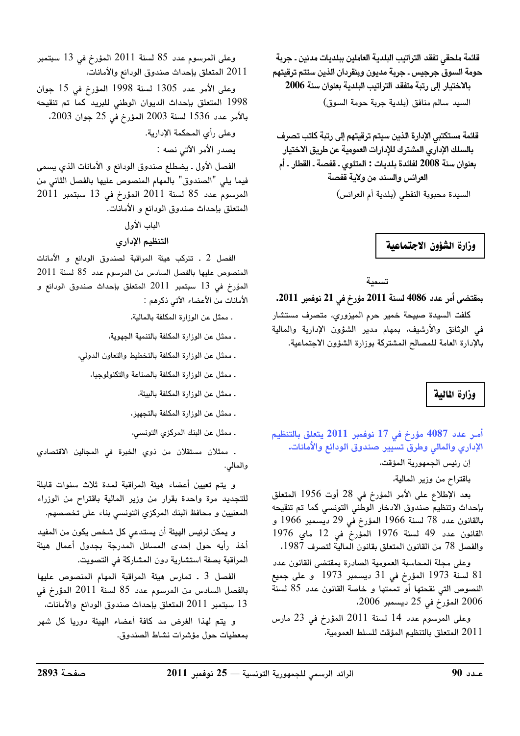قائمة ملحقي تفقد التراتيب البلدية العاملين ببلديات مدنين ـ جربة حومة السوق جرجيس ـ جربة مديون وبنقردان الذين ستتم ترقيتهم بالاختيار إلى رتبة متفقد التراتيب البلدية بعنوان سنة 2006 السيد سالم منافق (بلدية جربة حومة السوق)

قائمة مستكتبي الإدارة الذين سيتم ترقيتهم إلى رتبة كاتب تصرف بالسلك الإدارى المشترك للإدارات العمومية عن طريق الاختيار بعنوان سنة 2008 لفائدة بلديات : المتلوي ـ قفصة ـ القطار ـ أم العرائس والسند من ولاية قفصة السيدة محبوبة النفطي (بلدية أم العرائس)

وزارة الشؤون الاجتماعية

تسمية

بمقتضى أمر عدد 4086 لسنة 2011 مؤرخ في 21 نوفمبر 2011.

كلفت السيدة صبيحة خمير حرم الميزوري، متصرف مستشار في الوثائق والأرشيف، بمهام مدير الشؤون الإدارية والمالية بالإدارة العامة للمصالح المشتركة بوزارة الشؤون الاجتماعية.

وزارة المالية

أمـر عدد 4087 مؤرخ في 17 نوفمبر 2011 يتعلق بالتنظيم الإدارى والمالي وطرق تسيير صندوق الودائع والأمانات.

إن رئيس الجمهورية المؤقت،

باقتراح من وزير المالية،

بعد الإطلاع على الأمر المؤرخ في 28 أوت 1956 المتعلق بإحداث وتنظيم صندوق الادخار الوطنى التونسى كما تم تنقيحه بالقانون عدد 78 لسنة 1966 المؤرخ في 29 ديسمبر 1966 و القانون عدد 49 لسنة 1976 المؤرخ في 12 ماي 1976 والفصل 78 من القانون المتعلق بقانون المالية لتصرف 1987.

وعلى مجلة المحاسبة العمومية الصادرة بمقتضى القانون عدد 81 لسنة 1973 المؤرخ في 31 ديسمبر 1973 و على جميع النصوص التي نقحتها أو تممتها و خاصة القانون عدد 85 لسنة 2006 المؤرخ في 25 ديسمبر 2006،

وعلى المرسوم عدد 14 لسنة 2011 المؤرخ في 23 مارس 2011 المتعلق بالتنظيم المؤقت للسلط العمومية،

وعلى المرسوم عدد 85 لسنة 2011 المؤرخ في 13 سبتمبر 2011 المتعلق بإحداث صندوق الودائع والأمانات،

وعلى الأمر عدد 1305 لسنة 1998 المؤرخ في 15 جوان 1998 المتعلق بإحداث الديوان الوطنى للبريد كما تم تنقيحه بالأمر عدد 1536 لسنة 2003 المؤرخ في 25 جوان 2003،

وعلى رأى المحكمة الإدارية.

يصدر الأمر الآتي نصه :

الفصل الأول ـ يضطلع صندوق الودائع و الأمانات الذي يسمى فيما يلي "الصندوق" بالمهام المنصوص عليها بالفصل الثاني من المرسوم عدد 85 لسنة 2011 المؤرخ في 13 سبتمبر 2011 المتعلق بإحداث صندوق الودائع و الأمانات.

الباب الأول

### التنظيم الإداري

الفصل 2 . تتركب هيئة المراقبة لصندوق الودائع و الأمانات المنصوص عليها بالفصل السادس من المرسوم عدد 85 لسنة 2011 المؤرخ في 13 سبتمبر 2011 المتعلق بإحداث صندوق الودائع و الأمانات من الأعضاء الآتي ذكرهم :

ـ ممثل عن الوزارة المكلفة بالمالية،

ـ ممثل عن الوزارة المكلفة بالتنمية الجهوية،

ـ ممثل عن الوزارة المكلفة بالتخطيط والتعاون الدولى،

. ممثل عن الوزارة المكلفة بالصناعة والتكنولوجيا،

ـ ممثل عن الوزارة المكلفة بالبيئة،

ـ ممثل عن الوزارة المكلفة بالتجهيز،

. ممثل عن البنك المركزي التونسي،

ـ ممثلان مستقلان من ذوي الخبرة في المجالين الاقتصا*دي* والمالي.

و يتم تعيين أعضاء هيئة المراقبة لمدة ثلاث سنوات قابلة للتجديد مرة واحدة بقرار من وزير المالية باقتراح من الوزراء المعنيين و محافظ البنك المركزي التونسي بناء على تخصصهم.

و يمكن لرئيس الهيئة أن يستدعى كل شخص يكون من المفيد أخذ رأيه حول إحدى المسائل المدرجة بجدول أعمال هيئة المراقبة بصفة استشارية دون المشاركة في التصويت.

الفصل 3 . تمارس هيئة المراقبة المهام المنصوص عليها بالفصل السادس من المرسوم عدد 85 لسنة 2011 المؤرخ في 13 سبتمبر 2011 المتعلق بإحداث صندوق الودائع والأمانات،

و يتم لهذا الغرض مد كافة أعضاء الهيئة دوريا كل شهر بمعطيات حول مؤشرات نشاط الصندوق.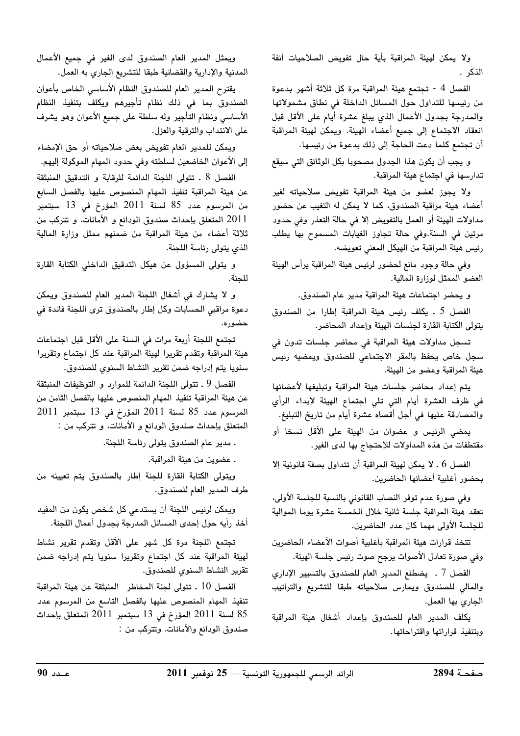ولا يمكن لهيئة المراقبة بأية حال تفويض الصلاحيات آنفة الذكر .

الفصل 4 - تجتمع هيئة المراقبة مرة كل ثلاثة أشهر بدعوة من رئيسها للتداول حول المسائل الداخلة في نطاق مشمولاتها والمدرجة بجدول الأعمال الذي يبلغ عشرة أيام على الأقل قبل انعقاد الاجتماع إلى جميع أعضاء الهيئة. ويمكن لهيئة المراقبة أن تجتمع كلما دعت الحاجة إلى ذلك بدعوة من رئيسها.

و يجب أن يكون هذا الجدول مصحوبا بكل الوثائق التي سيقع تدارسها في اجتماع هيئة المراقبة.

ولا يجوز لعضو من هيئة المراقبة تفويض صلاحياته لغير أعضاء هيئة مراقبة الصندوق، كما لا يمكن له التغيب عن حضور مداولات الهيئة أو العمل بالتفويض إلا في حالة التعذر وفي حدود مرتين في السنة.وفي حالة تجاوز الغيابات المسموح بها يطلب رئيس هيئة المراقبة من الهيكل المعني تعويضه.

وفي حالة وجود مانع لحضور لرئيس هيئة المراقبة يرأس الهيئة العضو الممثل لوزارة المالية.

و يحضر اجتماعات هيئة المراقبة مدير عام الصندوق.

الفصل 5 ـ يكلف رئيس هيئة المراقبة إطارا من الصندوق يتولى الكتابة القارة لجلسات الهيئة وإعداد المحاضر.

تسجل مداولات هيئة المراقبة في محاضر جلسات تدون في سجل خاص يحفظ بالمقر الاجتماعي للصندوق ويمضيه رئيس هيئة المراقبة وعضو من الهيئة.

يتم إعداد محاضر جلسات هيئة المراقبة وتبليغها لأعضائها فى ظرف العشرة أيام التى تلى اجتماع الهيئة لإبداء الرأي والمصادقة عليها في أجل أقصاه عشرة أيام من تاريخ التبليغ.

يمضى الرئيس و عضوان من الهيئة على الأقل نسخا أو مقتطفات من هذه المداولات للاحتجاج بها لدى الغير.

الفصل 6 . لا يمكن لهيئة المراقبة أن تتداول بصفة قانونية إلا بحضور أغلبية أعضائها الحاضرين.

وفي صورة عدم توفر النصاب القانوني بالنسبة للجلسة الأولى، تعقد هيئة المراقبة جلسة ثانية خلال الخمسة عشرة يوما الموالية للجلسة الأولى مهما كان عدد الحاضرين.

تتخذ قرارات هيئة المراقبة بأغلبية أصوات الأعضاء الحاضرين وفي صورة تعادل الأصوات يرجح صوت رئيس جلسة الهيئة.

الفصل 7 ـ يضطلع المدير العام للصندوق بالتسيير الإدارى والمالى للصندوق ويمارس صلاحياته طبقا للتشريع والتراتيب الجاري بها العمل.

يكلف المدير العام للصندوق بإعداد أشغال هيئة المراقبة وبتنفيذ قراراتها واقتراحاتها.

ويمثل المدير العام الصندوق لدى الغير في جميع الأعمال المدنية والإدارية والقضائية طبقا للتشريع الجاري به العمل.

يقترح المدير العام للصندوق النظام الأساسي الخاص بأعوان الصندوق بما فى ذلك نظام تأجيرهم ويكلف بتنفيذ النظام الأساسي ونظام التأجير وله سلطة على جميع الأعوان وهو يشرف على الانتداب والترقية والعزل.

ويمكن للمدير العام تفويض بعض صلاحياته أو حق الإمضاء إلى الأعوان الخاضعين لسلطته وفى حدود المهام الموكولة إليهم.

الفصل 8 . تتولى اللحنة الدائمة للرقابة و التدقيق المنبثقة عن هيئة المراقبة تنفيذ المهام المنصوص عليها بالفصل السابع من المرسوم عدد 85 لسنة 2011 المؤرخ في 13 سبتمبر 2011 المتعلق بإحداث صندوق الودائع و الأمانات، و تتركب من ثلاثة أعضاء من هيئة المراقبة من ضمنهم ممثل وزارة المالية الذي يتولى رئاسة اللجنة.

و يتولى المسؤول عن هيكل التدقيق الداخلي الكتابة القارة للجنة.

و لا يشارك في أشغال اللجنة المدير العام للصندوق ويمكن دعوة مراقبي الحسابات وكل إطار بالصندوق ترى اللجنة فائدة في حضور ه.

تجتمع اللجنة أربعة مرات في السنة على الأقل قبل اجتماعات هيئة المراقبة وتقدم تقريرا لهيئة المراقبة عند كل اجتماع وتقريرا سنويا يتم إدراجه ضمن تقرير النشاط السنوى للصندوق.

الفصل 9 ـ تتولى اللجنة الدائمة للموارد و التوظيفات المنبثقة عن هيئة المراقبة تنفيذ المهام المنصوص عليها بالفصل الثامن من المرسوم عدد 85 لسنة 2011 المؤرخ في 13 سبتمبر 2011 المتعلق بإحداث صندوق الودائع و الأمانات، و تتركب من :

. مدير عام الصندوق يتولى رئاسة اللجنة.

. عضوين من هيئة المراقبة.

ويتولى الكتابة القارة للجنة إطار بالصندوق يتم تعيينه من طرف المدير العام للصندوق.

ويمكن لرئيس اللجنة أن يستدعى كل شخص يكون من المفيد أخذ رأيه حول إحدى المسائل المدرجة بجدول أعمال اللجنة.

تجتمع اللجنة مرة كل شهر على الأقل وتقدم تقرير نشاط لهيئة المراقبة عند كل اجتماع وتقريرا سنويا يتم إدراجه ضمن تقرير النشاط السنوى للصندوق.

الفصل 10 . تتولى لجنة المخاطر المنبثقة عن هيئة المراقبة تنفيذ المهام المنصوص عليها بالفصل التاسع من المرسوم عدد 85 لسنة 2011 المؤرخ في 13 سبتمبر 2011 المتعلق بإحداث صندوق الودائع والأمانات، وتتركب من :